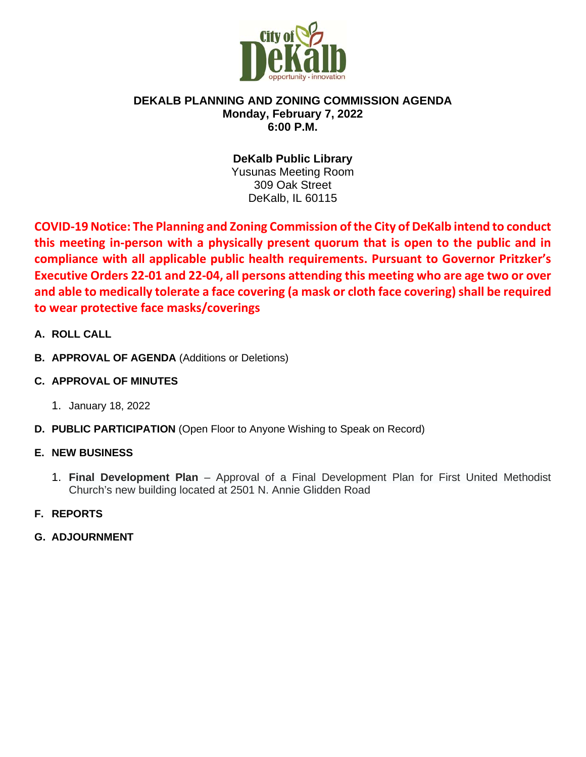

### **DEKALB PLANNING AND ZONING COMMISSION AGENDA Monday, February 7, 2022 6:00 P.M.**

**DeKalb Public Library** Yusunas Meeting Room 309 Oak Street DeKalb, IL 60115

**COVID-19 Notice: The Planning and Zoning Commission of the City of DeKalb intend to conduct this meeting in-person with a physically present quorum that is open to the public and in compliance with all applicable public health requirements. Pursuant to Governor Pritzker's Executive Orders 22-01 and 22-04, all persons attending this meeting who are age two or over and able to medically tolerate a face covering (a mask or cloth face covering) shall be required to wear protective face masks/coverings**

- **A. ROLL CALL**
- **B. APPROVAL OF AGENDA** (Additions or Deletions)
- **C. APPROVAL OF MINUTES**
	- 1. January 18, 2022
- **D. PUBLIC PARTICIPATION** (Open Floor to Anyone Wishing to Speak on Record)

# **E. NEW BUSINESS**

- 1. **Final Development Plan** Approval of a Final Development Plan for First United Methodist Church's new building located at 2501 N. Annie Glidden Road
- **F. REPORTS**
- **G. ADJOURNMENT**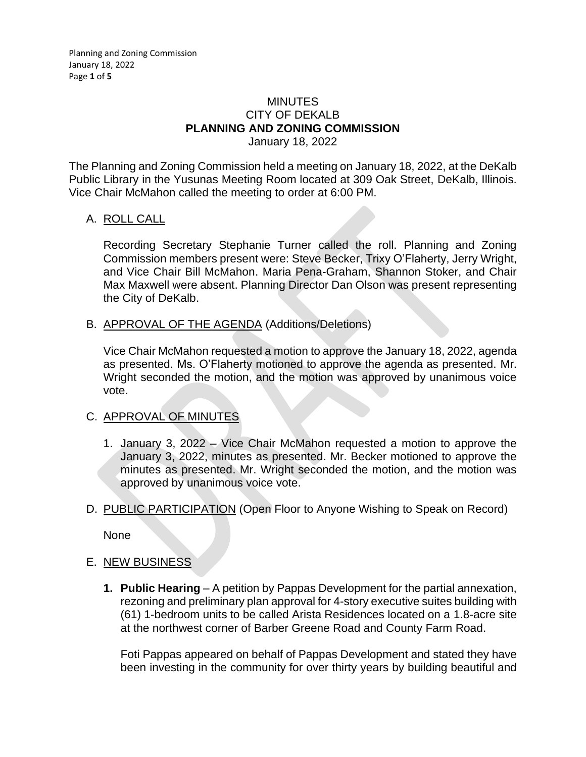#### MINUTES CITY OF DEKALB **PLANNING AND ZONING COMMISSION** January 18, 2022

The Planning and Zoning Commission held a meeting on January 18, 2022, at the DeKalb Public Library in the Yusunas Meeting Room located at 309 Oak Street, DeKalb, Illinois. Vice Chair McMahon called the meeting to order at 6:00 PM.

### A. ROLL CALL

Recording Secretary Stephanie Turner called the roll. Planning and Zoning Commission members present were: Steve Becker, Trixy O'Flaherty, Jerry Wright, and Vice Chair Bill McMahon. Maria Pena-Graham, Shannon Stoker, and Chair Max Maxwell were absent. Planning Director Dan Olson was present representing the City of DeKalb.

B. APPROVAL OF THE AGENDA (Additions/Deletions)

Vice Chair McMahon requested a motion to approve the January 18, 2022, agenda as presented. Ms. O'Flaherty motioned to approve the agenda as presented. Mr. Wright seconded the motion, and the motion was approved by unanimous voice vote.

# C. APPROVAL OF MINUTES

- 1. January 3, 2022 Vice Chair McMahon requested a motion to approve the January 3, 2022, minutes as presented. Mr. Becker motioned to approve the minutes as presented. Mr. Wright seconded the motion, and the motion was approved by unanimous voice vote.
- D. PUBLIC PARTICIPATION (Open Floor to Anyone Wishing to Speak on Record)

None

# E. NEW BUSINESS

**1. Public Hearing** – A petition by Pappas Development for the partial annexation, rezoning and preliminary plan approval for 4-story executive suites building with (61) 1-bedroom units to be called Arista Residences located on a 1.8-acre site at the northwest corner of Barber Greene Road and County Farm Road.

Foti Pappas appeared on behalf of Pappas Development and stated they have been investing in the community for over thirty years by building beautiful and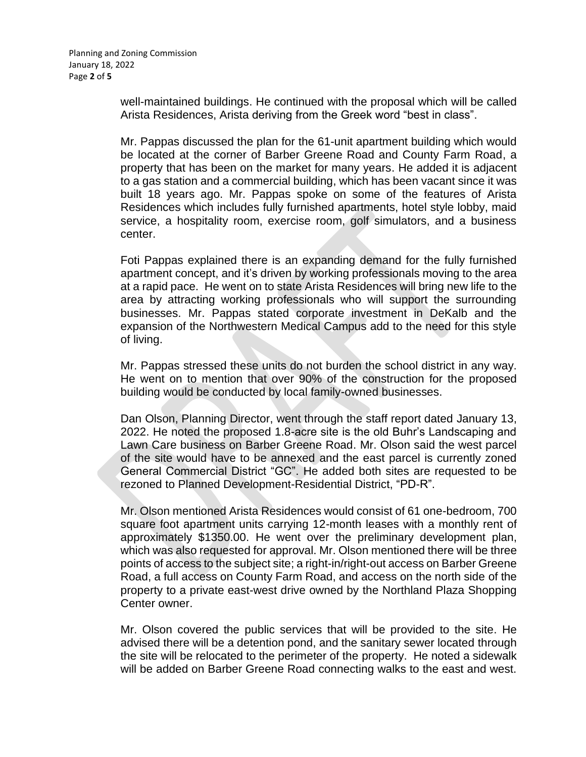well-maintained buildings. He continued with the proposal which will be called Arista Residences, Arista deriving from the Greek word "best in class".

Mr. Pappas discussed the plan for the 61-unit apartment building which would be located at the corner of Barber Greene Road and County Farm Road, a property that has been on the market for many years. He added it is adjacent to a gas station and a commercial building, which has been vacant since it was built 18 years ago. Mr. Pappas spoke on some of the features of Arista Residences which includes fully furnished apartments, hotel style lobby, maid service, a hospitality room, exercise room, golf simulators, and a business center.

Foti Pappas explained there is an expanding demand for the fully furnished apartment concept, and it's driven by working professionals moving to the area at a rapid pace. He went on to state Arista Residences will bring new life to the area by attracting working professionals who will support the surrounding businesses. Mr. Pappas stated corporate investment in DeKalb and the expansion of the Northwestern Medical Campus add to the need for this style of living.

Mr. Pappas stressed these units do not burden the school district in any way. He went on to mention that over 90% of the construction for the proposed building would be conducted by local family-owned businesses.

Dan Olson, Planning Director, went through the staff report dated January 13, 2022. He noted the proposed 1.8-acre site is the old Buhr's Landscaping and Lawn Care business on Barber Greene Road. Mr. Olson said the west parcel of the site would have to be annexed and the east parcel is currently zoned General Commercial District "GC". He added both sites are requested to be rezoned to Planned Development-Residential District, "PD-R".

Mr. Olson mentioned Arista Residences would consist of 61 one-bedroom, 700 square foot apartment units carrying 12-month leases with a monthly rent of approximately \$1350.00. He went over the preliminary development plan, which was also requested for approval. Mr. Olson mentioned there will be three points of access to the subject site; a right-in/right-out access on Barber Greene Road, a full access on County Farm Road, and access on the north side of the property to a private east-west drive owned by the Northland Plaza Shopping Center owner.

Mr. Olson covered the public services that will be provided to the site. He advised there will be a detention pond, and the sanitary sewer located through the site will be relocated to the perimeter of the property. He noted a sidewalk will be added on Barber Greene Road connecting walks to the east and west.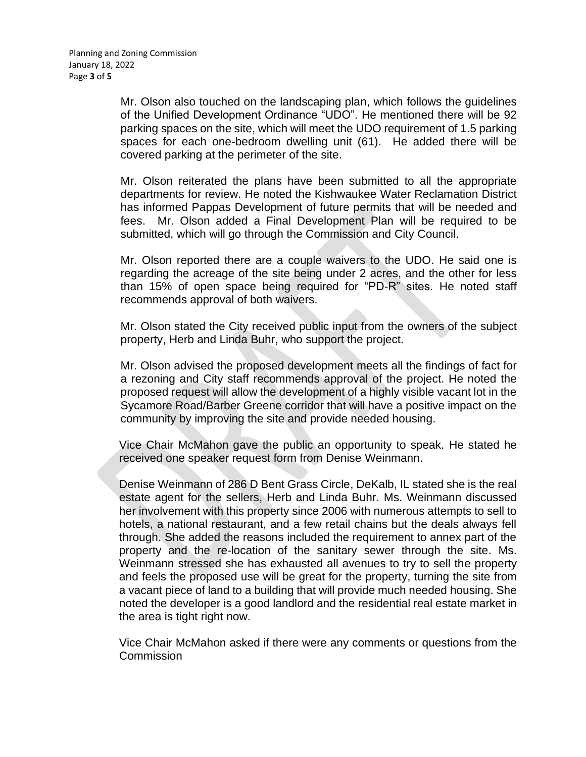Mr. Olson also touched on the landscaping plan, which follows the guidelines of the Unified Development Ordinance "UDO". He mentioned there will be 92 parking spaces on the site, which will meet the UDO requirement of 1.5 parking spaces for each one-bedroom dwelling unit (61). He added there will be covered parking at the perimeter of the site.

Mr. Olson reiterated the plans have been submitted to all the appropriate departments for review. He noted the Kishwaukee Water Reclamation District has informed Pappas Development of future permits that will be needed and fees. Mr. Olson added a Final Development Plan will be required to be submitted, which will go through the Commission and City Council.

Mr. Olson reported there are a couple waivers to the UDO. He said one is regarding the acreage of the site being under 2 acres, and the other for less than 15% of open space being required for "PD-R" sites. He noted staff recommends approval of both waivers.

Mr. Olson stated the City received public input from the owners of the subject property, Herb and Linda Buhr, who support the project.

Mr. Olson advised the proposed development meets all the findings of fact for a rezoning and City staff recommends approval of the project. He noted the proposed request will allow the development of a highly visible vacant lot in the Sycamore Road/Barber Greene corridor that will have a positive impact on the community by improving the site and provide needed housing.

Vice Chair McMahon gave the public an opportunity to speak. He stated he received one speaker request form from Denise Weinmann.

Denise Weinmann of 286 D Bent Grass Circle, DeKalb, IL stated she is the real estate agent for the sellers, Herb and Linda Buhr. Ms. Weinmann discussed her involvement with this property since 2006 with numerous attempts to sell to hotels, a national restaurant, and a few retail chains but the deals always fell through. She added the reasons included the requirement to annex part of the property and the re-location of the sanitary sewer through the site. Ms. Weinmann stressed she has exhausted all avenues to try to sell the property and feels the proposed use will be great for the property, turning the site from a vacant piece of land to a building that will provide much needed housing. She noted the developer is a good landlord and the residential real estate market in the area is tight right now.

Vice Chair McMahon asked if there were any comments or questions from the **Commission**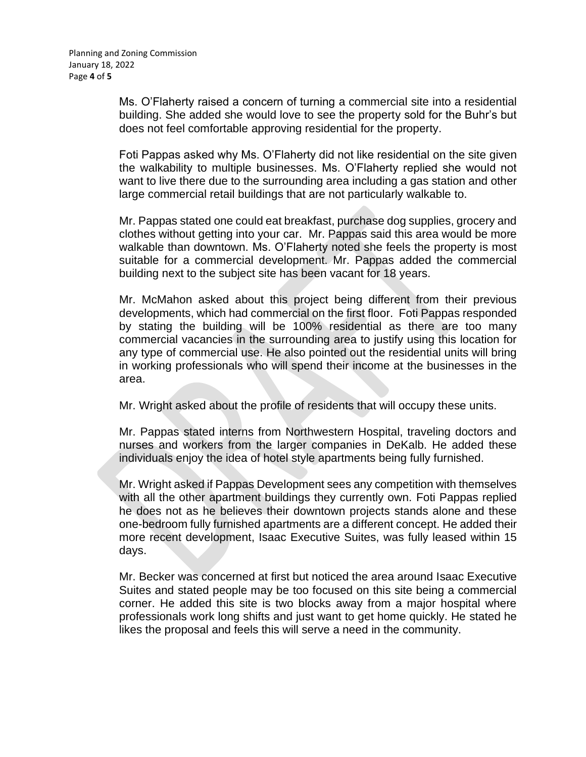Ms. O'Flaherty raised a concern of turning a commercial site into a residential building. She added she would love to see the property sold for the Buhr's but does not feel comfortable approving residential for the property.

Foti Pappas asked why Ms. O'Flaherty did not like residential on the site given the walkability to multiple businesses. Ms. O'Flaherty replied she would not want to live there due to the surrounding area including a gas station and other large commercial retail buildings that are not particularly walkable to.

Mr. Pappas stated one could eat breakfast, purchase dog supplies, grocery and clothes without getting into your car. Mr. Pappas said this area would be more walkable than downtown. Ms. O'Flaherty noted she feels the property is most suitable for a commercial development. Mr. Pappas added the commercial building next to the subject site has been vacant for 18 years.

Mr. McMahon asked about this project being different from their previous developments, which had commercial on the first floor. Foti Pappas responded by stating the building will be 100% residential as there are too many commercial vacancies in the surrounding area to justify using this location for any type of commercial use. He also pointed out the residential units will bring in working professionals who will spend their income at the businesses in the area.

Mr. Wright asked about the profile of residents that will occupy these units.

Mr. Pappas stated interns from Northwestern Hospital, traveling doctors and nurses and workers from the larger companies in DeKalb. He added these individuals enjoy the idea of hotel style apartments being fully furnished.

Mr. Wright asked if Pappas Development sees any competition with themselves with all the other apartment buildings they currently own. Foti Pappas replied he does not as he believes their downtown projects stands alone and these one-bedroom fully furnished apartments are a different concept. He added their more recent development, Isaac Executive Suites, was fully leased within 15 days.

Mr. Becker was concerned at first but noticed the area around Isaac Executive Suites and stated people may be too focused on this site being a commercial corner. He added this site is two blocks away from a major hospital where professionals work long shifts and just want to get home quickly. He stated he likes the proposal and feels this will serve a need in the community.